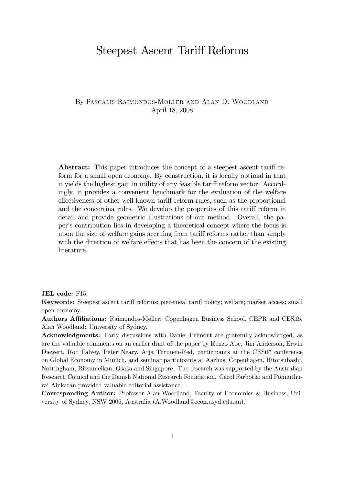# Steepest Ascent Tariff Reforms

### By Pascalis Raimondos-Møller and Alan D. Woodland April 18, 2008

Abstract: This paper introduces the concept of a steepest ascent tariff reform for a small open economy. By construction, it is locally optimal in that it yields the highest gain in utility of any feasible tariff reform vector. Accordingly, it provides a convenient benchmark for the evaluation of the welfare effectiveness of other well known tariff reform rules, such as the proportional and the concertina rules. We develop the properties of this tariff reform in detail and provide geometric illustrations of our method. Overall, the paper's contribution lies in developing a theoretical concept where the focus is upon the size of welfare gains accruing from tariff reforms rather than simply with the direction of welfare effects that has been the concern of the existing literature.

JEL code: F15.

Keywords: Steepest ascent tariff reforms; piecemeal tariff policy; welfare; market access; small open economy.

Authors Affiliations: Raimondos-Møller: Copenhagen Business School, CEPR and CESifö. Alan Woodland: University of Sydney.

Acknowledgments: Early discussions with Daniel Primont are gratefully acknowledged, as are the valuable comments on an earlier draft of the paper by Kenzo Abe, Jim Anderson, Erwin Diewert, Rod Falvey, Peter Neary, Arja Turunen-Red, participants at the CESifö conference on Global Economy in Munich, and seminar participants at Aarhus, Copenhagen, Hitotsubashi, Nottingham, Ritsumeikan, Osaka and Singapore. The research was supported by the Australian Research Council and the Danish National Research Foundation. Carol Farbotko and Ponnuthurai Ainkaran provided valuable editorial assistance.

Corresponding Author: Professor Alan Woodland, Faculty of Economics & Business, University of Sydney, NSW 2006, Australia (A.Woodland@econ.usyd.edu.au).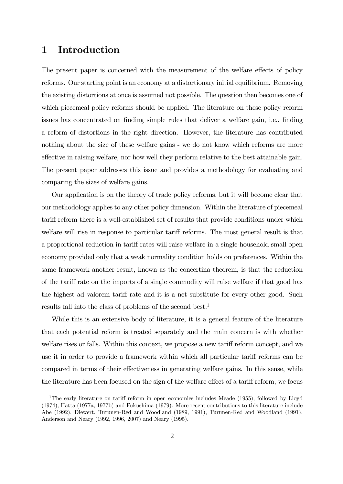## 1 Introduction

The present paper is concerned with the measurement of the welfare effects of policy reforms. Our starting point is an economy at a distortionary initial equilibrium. Removing the existing distortions at once is assumed not possible. The question then becomes one of which piecemeal policy reforms should be applied. The literature on these policy reform issues has concentrated on finding simple rules that deliver a welfare gain, i.e., finding a reform of distortions in the right direction. However, the literature has contributed nothing about the size of these welfare gains - we do not know which reforms are more effective in raising welfare, nor how well they perform relative to the best attainable gain. The present paper addresses this issue and provides a methodology for evaluating and comparing the sizes of welfare gains.

Our application is on the theory of trade policy reforms, but it will become clear that our methodology applies to any other policy dimension. Within the literature of piecemeal tariff reform there is a well-established set of results that provide conditions under which welfare will rise in response to particular tariff reforms. The most general result is that a proportional reduction in tariff rates will raise welfare in a single-household small open economy provided only that a weak normality condition holds on preferences. Within the same framework another result, known as the concertina theorem, is that the reduction of the tariff rate on the imports of a single commodity will raise welfare if that good has the highest ad valorem tariff rate and it is a net substitute for every other good. Such results fall into the class of problems of the second best.1

While this is an extensive body of literature, it is a general feature of the literature that each potential reform is treated separately and the main concern is with whether welfare rises or falls. Within this context, we propose a new tariff reform concept, and we use it in order to provide a framework within which all particular tariff reforms can be compared in terms of their effectiveness in generating welfare gains. In this sense, while the literature has been focused on the sign of the welfare effect of a tariff reform, we focus

<sup>&</sup>lt;sup>1</sup>The early literature on tariff reform in open economies includes Meade (1955), followed by Lloyd (1974), Hatta (1977a, 1977b) and Fukushima (1979). More recent contributions to this literature include Abe (1992), Diewert, Turunen-Red and Woodland (1989, 1991), Turunen-Red and Woodland (1991), Anderson and Neary (1992, 1996, 2007) and Neary (1995).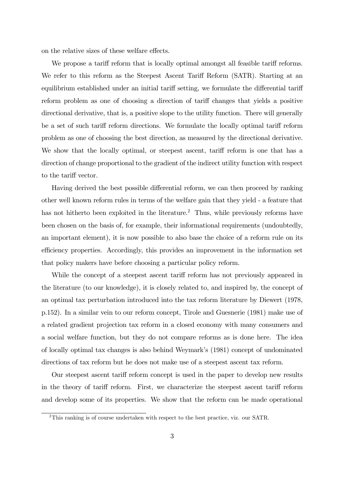on the relative sizes of these welfare effects.

We propose a tariff reform that is locally optimal amongst all feasible tariff reforms. We refer to this reform as the Steepest Ascent Tariff Reform (SATR). Starting at an equilibrium established under an initial tariff setting, we formulate the differential tariff reform problem as one of choosing a direction of tariff changes that yields a positive directional derivative, that is, a positive slope to the utility function. There will generally be a set of such tariff reform directions. We formulate the locally optimal tariff reform problem as one of choosing the best direction, as measured by the directional derivative. We show that the locally optimal, or steepest ascent, tariff reform is one that has a direction of change proportional to the gradient of the indirect utility function with respect to the tariff vector.

Having derived the best possible differential reform, we can then proceed by ranking other well known reform rules in terms of the welfare gain that they yield - a feature that has not hitherto been exploited in the literature.<sup>2</sup> Thus, while previously reforms have been chosen on the basis of, for example, their informational requirements (undoubtedly, an important element), it is now possible to also base the choice of a reform rule on its efficiency properties. Accordingly, this provides an improvement in the information set that policy makers have before choosing a particular policy reform.

While the concept of a steepest ascent tariff reform has not previously appeared in the literature (to our knowledge), it is closely related to, and inspired by, the concept of an optimal tax perturbation introduced into the tax reform literature by Diewert (1978, p.152). In a similar vein to our reform concept, Tirole and Guesnerie (1981) make use of a related gradient projection tax reform in a closed economy with many consumers and a social welfare function, but they do not compare reforms as is done here. The idea of locally optimal tax changes is also behind Weymark's (1981) concept of undominated directions of tax reform but he does not make use of a steepest ascent tax reform.

Our steepest ascent tariff reform concept is used in the paper to develop new results in the theory of tariff reform. First, we characterize the steepest ascent tariff reform and develop some of its properties. We show that the reform can be made operational

<sup>2</sup>This ranking is of course undertaken with respect to the best practice, viz. our SATR.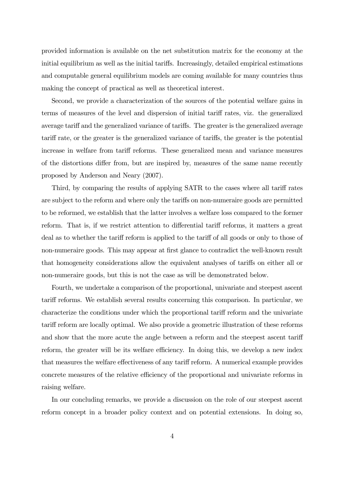provided information is available on the net substitution matrix for the economy at the initial equilibrium as well as the initial tariffs. Increasingly, detailed empirical estimations and computable general equilibrium models are coming available for many countries thus making the concept of practical as well as theoretical interest.

Second, we provide a characterization of the sources of the potential welfare gains in terms of measures of the level and dispersion of initial tariff rates, viz. the generalized average tariff and the generalized variance of tariffs. The greater is the generalized average tariff rate, or the greater is the generalized variance of tariffs, the greater is the potential increase in welfare from tariff reforms. These generalized mean and variance measures of the distortions differ from, but are inspired by, measures of the same name recently proposed by Anderson and Neary (2007).

Third, by comparing the results of applying SATR to the cases where all tariff rates are subject to the reform and where only the tariffs on non-numeraire goods are permitted to be reformed, we establish that the latter involves a welfare loss compared to the former reform. That is, if we restrict attention to differential tariff reforms, it matters a great deal as to whether the tariff reform is applied to the tariff of all goods or only to those of non-numeraire goods. This may appear at first glance to contradict the well-known result that homogeneity considerations allow the equivalent analyses of tariffs on either all or non-numeraire goods, but this is not the case as will be demonstrated below.

Fourth, we undertake a comparison of the proportional, univariate and steepest ascent tariff reforms. We establish several results concerning this comparison. In particular, we characterize the conditions under which the proportional tariff reform and the univariate tariff reform are locally optimal. We also provide a geometric illustration of these reforms and show that the more acute the angle between a reform and the steepest ascent tariff reform, the greater will be its welfare efficiency. In doing this, we develop a new index that measures the welfare effectiveness of any tariff reform. A numerical example provides concrete measures of the relative efficiency of the proportional and univariate reforms in raising welfare.

In our concluding remarks, we provide a discussion on the role of our steepest ascent reform concept in a broader policy context and on potential extensions. In doing so,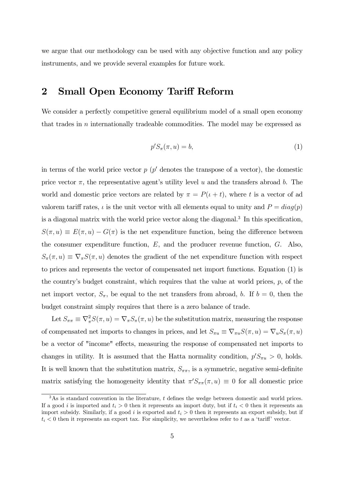we argue that our methodology can be used with any objective function and any policy instruments, and we provide several examples for future work.

## 2 Small Open Economy Tariff Reform

We consider a perfectly competitive general equilibrium model of a small open economy that trades in n internationally tradeable commodities. The model may be expressed as

$$
p'S_{\pi}(\pi, u) = b,\tag{1}
$$

in terms of the world price vector  $p$  ( $p'$  denotes the transpose of a vector), the domestic price vector  $\pi$ , the representative agent's utility level u and the transfers abroad b. The world and domestic price vectors are related by  $\pi = P(t + t)$ , where t is a vector of ad valorem tariff rates,  $\iota$  is the unit vector with all elements equal to unity and  $P = diag(p)$ is a diagonal matrix with the world price vector along the diagonal.3 In this specification,  $S(\pi, u) \equiv E(\pi, u) - G(\pi)$  is the net expenditure function, being the difference between the consumer expenditure function, E, and the producer revenue function, G. Also,  $S_{\pi}(\pi, u) \equiv \nabla_{\pi} S(\pi, u)$  denotes the gradient of the net expenditure function with respect to prices and represents the vector of compensated net import functions. Equation (1) is the country's budget constraint, which requires that the value at world prices,  $p$ , of the net import vector,  $S_{\pi}$ , be equal to the net transfers from abroad, b. If  $b = 0$ , then the budget constraint simply requires that there is a zero balance of trade.

Let  $S_{\pi\pi} \equiv \nabla^2_{\pi} S(\pi, u) = \nabla_{\pi} S_{\pi}(\pi, u)$  be the substitution matrix, measuring the response of compensated net imports to changes in prices, and let  $S_{\pi u} \equiv \nabla_{\pi u} S(\pi, u) = \nabla_u S_{\pi}(\pi, u)$ be a vector of "income" effects, measuring the response of compensated net imports to changes in utility. It is assumed that the Hatta normality condition,  $p'S_{\pi u} > 0$ , holds. It is well known that the substitution matrix,  $S_{\pi\pi}$ , is a symmetric, negative semi-definite matrix satisfying the homogeneity identity that  $\pi' S_{\pi\pi}(\pi, u) \equiv 0$  for all domestic price

 $3$ As is standard convention in the literature, t defines the wedge between domestic and world prices. If a good i is imported and  $t_i > 0$  then it represents an import duty, but if  $t_i < 0$  then it represents an import subsidy. Similarly, if a good i is exported and  $t_i > 0$  then it represents an export subsidy, but if  $t_i < 0$  then it represents an export tax. For simplicity, we nevertheless refer to t as a 'tariff' vector.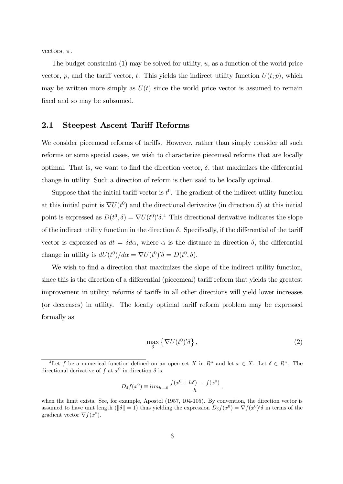vectors,  $\pi$ .

The budget constraint  $(1)$  may be solved for utility, u, as a function of the world price vector, p, and the tariff vector, t. This yields the indirect utility function  $U(t; p)$ , which may be written more simply as  $U(t)$  since the world price vector is assumed to remain fixed and so may be subsumed.

### 2.1 Steepest Ascent Tariff Reforms

We consider piecemeal reforms of tariffs. However, rather than simply consider all such reforms or some special cases, we wish to characterize piecemeal reforms that are locally optimal. That is, we want to find the direction vector,  $\delta$ , that maximizes the differential change in utility. Such a direction of reform is then said to be locally optimal.

Suppose that the initial tariff vector is  $t^0$ . The gradient of the indirect utility function at this initial point is  $\nabla U(t^0)$  and the directional derivative (in direction  $\delta$ ) at this initial point is expressed as  $D(t^0, \delta) = \nabla U(t^0) \delta^{4}$ . This directional derivative indicates the slope of the indirect utility function in the direction  $\delta$ . Specifically, if the differential of the tariff vector is expressed as  $dt = \delta d\alpha$ , where  $\alpha$  is the distance in direction  $\delta$ , the differential change in utility is  $dU(t^0)/d\alpha = \nabla U(t^0)' \delta = D(t^0, \delta)$ .

We wish to find a direction that maximizes the slope of the indirect utility function, since this is the direction of a differential (piecemeal) tariff reform that yields the greatest improvement in utility; reforms of tariffs in all other directions will yield lower increases (or decreases) in utility. The locally optimal tariff reform problem may be expressed formally as

$$
\max_{\delta} \left\{ \nabla U(t^0)' \delta \right\},\tag{2}
$$

$$
D_{\delta}f(x^{0}) \equiv \lim_{h \to 0} \frac{f(x^{0} + h\delta) - f(x^{0})}{h},
$$

<sup>&</sup>lt;sup>4</sup>Let f be a numerical function defined on an open set X in  $R^n$  and let  $x \in X$ . Let  $\delta \in R^n$ . The directional derivative of f at  $x^0$  in direction  $\delta$  is

when the limit exists. See, for example, Apostol (1957, 104-105). By convention, the direction vector is assumed to have unit length ( $\|\delta\| = 1$ ) thus yielding the expression  $D_{\delta} f(x^0) = \nabla f(x^0)' \delta$  in terms of the gradient vector  $\nabla f(x^0)$ .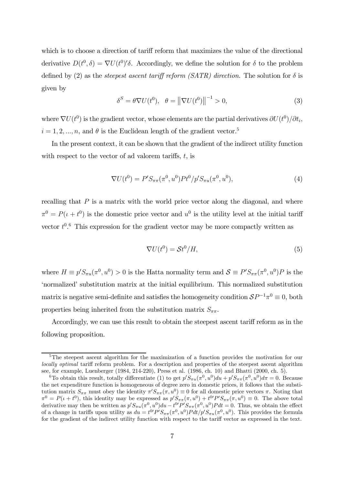which is to choose a direction of tariff reform that maximizes the value of the directional derivative  $D(t^0, \delta) = \nabla U(t^0)'\delta$ . Accordingly, we define the solution for  $\delta$  to the problem defined by (2) as the *steepest ascent tariff reform (SATR) direction*. The solution for  $\delta$  is given by

$$
\delta^S = \theta \nabla U(t^0), \quad \theta = \left\| \nabla U(t^0) \right\|^{-1} > 0,\tag{3}
$$

where  $\nabla U(t^0)$  is the gradient vector, whose elements are the partial derivatives  $\partial U(t^0)/\partial t_i$ ,  $i = 1, 2, ..., n$ , and  $\theta$  is the Euclidean length of the gradient vector.<sup>5</sup>

In the present context, it can be shown that the gradient of the indirect utility function with respect to the vector of ad valorem tariffs,  $t$ , is

$$
\nabla U(t^0) = P'S_{\pi\pi}(\pi^0, u^0) P t^0 / p'S_{\pi u}(\pi^0, u^0), \tag{4}
$$

recalling that  $P$  is a matrix with the world price vector along the diagonal, and where  $\pi^0 = P(\iota + t^0)$  is the domestic price vector and  $u^0$  is the utility level at the initial tariff vector  $t^{0.6}$  This expression for the gradient vector may be more compactly written as

$$
\nabla U(t^0) = \mathcal{S}t^0/H,\tag{5}
$$

where  $H \equiv p' S_{\pi u}(\pi^0, u^0) > 0$  is the Hatta normality term and  $S \equiv P' S_{\pi\pi}(\pi^0, u^0) P$  is the 'normalized' substitution matrix at the initial equilibrium. This normalized substitution matrix is negative semi-definite and satisfies the homogeneity condition  $\mathcal{S}P^{-1}\pi^0 \equiv 0$ , both properties being inherited from the substitution matrix  $S_{\pi\pi}$ .

Accordingly, we can use this result to obtain the steepest ascent tariff reform as in the following proposition.

<sup>&</sup>lt;sup>5</sup>The steepest ascent algorithm for the maximization of a function provides the motivation for our locally optimal tariff reform problem. For a description and properties of the steepest ascent algorithm see, for example, Luenberger (1984, 214-220), Press et al. (1986, ch. 10) and Bhatti (2000, ch. 5).

<sup>&</sup>lt;sup>6</sup>To obtain this result, totally differentiate (1) to get  $p'S_{\pi u}(\pi^0, u^0)du + p'S_{\pi\pi}(\pi^0, u^0)d\pi = 0$ . Because the net expenditure function is homogeneous of degree zero in domestic prices, it follows that the substitution matrix  $S_{\pi\pi}$  must obey the identity  $\pi' S_{\pi\pi}(\pi, u^0) \equiv 0$  for all domestic price vectors  $\pi$ . Noting that  $\pi^0 = P(\iota + t^0)$ , this identity may be expressed as  $p' S_{\pi\pi}(\pi, u^0) + t^0 P' S_{\pi\pi}(\pi, u^0) \equiv 0$ . The above total derivative may then be written as  $p'S_{\pi u}(\pi^0, u^0)du - t^0 P'S_{\pi \pi}(\pi^0, u^0)P dt = 0$ . Thus, we obtain the effect of a change in tariffs upon utility as  $du = t^{0}P'S_{\pi\pi}(\pi^0, u^0)Pdt/p'S_{\pi u}(\pi^0, u^0)$ . This provides the formula for the gradient of the indirect utility function with respect to the tariff vector as expressed in the text.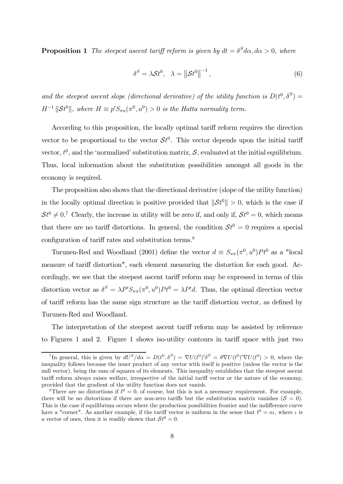**Proposition 1** The steepest ascent tariff reform is given by  $dt = \delta^S d\alpha, d\alpha > 0$ , where

$$
\delta^S = \lambda \mathcal{S}t^0, \quad \lambda = \left\| \mathcal{S}t^0 \right\|^{-1},\tag{6}
$$

and the steepest ascent slope (directional derivative) of the utility function is  $D(t^0, \delta^S)$  =  $H^{-1}$  ||St<sup>0</sup>||, where  $H \equiv p'S_{\pi u}(\pi^0, u^0) > 0$  is the Hatta normality term.

According to this proposition, the locally optimal tariff reform requires the direction vector to be proportional to the vector  $St^0$ . This vector depends upon the initial tariff vector,  $t^0$ , and the 'normalized' substitution matrix,  $S$ , evaluated at the initial equilibrium. Thus, local information about the substitution possibilities amongst all goods in the economy is required.

The proposition also shows that the directional derivative (slope of the utility function) in the locally optimal direction is positive provided that  $\|\mathcal{S}t^0\| > 0$ , which is the case if  $St^0 \neq 0$ <sup>7</sup> Clearly, the increase in utility will be zero if, and only if,  $St^0 = 0$ , which means that there are no tariff distortions. In general, the condition  $St^0 = 0$  requires a special configuration of tariff rates and substitution terms.<sup>8</sup>

Turunen-Red and Woodland (2001) define the vector  $d \equiv S_{\pi\pi}(\pi^0, u^0) P t^0$  as a "local measure of tariff distortion", each element measuring the distortion for each good. Accordingly, we see that the steepest ascent tariff reform may be expressed in terms of this distortion vector as  $\delta^S = \lambda P' S_{\pi\pi}(\pi^0, u^0) P t^0 = \lambda P' d$ . Thus, the optimal direction vector of tariff reform has the same sign structure as the tariff distortion vector, as defined by Turunen-Red and Woodland.

The interpretation of the steepest ascent tariff reform may be assisted by reference to Figures 1 and 2. Figure 1 shows iso-utility contours in tariff space with just two

<sup>&</sup>lt;sup>7</sup>In general, this is given by  $dU^S/d\alpha = D(t^0, \delta^S) = \nabla U(t^0)'\delta^S = \theta \nabla U(t^0)' \nabla U(t^0) > 0$ , where the inequality follows because the inner product of any vector with itself is positive (unless the vector is the null vector), being the sum of squares of its elements. This inequality establishes that the steepest ascent tariff reform always raises welfare, irrespective of the initial tariff vector or the nature of the economy, provided that the gradient of the utility function does not vanish.

<sup>&</sup>lt;sup>8</sup>There are no distortions if  $t^0 = 0$ , of course, but this is not a necessary requirement. For example, there will be no distortions if there are non-zero tariffs but the substitution matrix vanishes  $(S = 0)$ . This is the case if equilibrium occurs where the production possibilities frontier and the indifference curve have a "corner". As another example, if the tariff vector is uniform in the sense that  $t^0 = \kappa \iota$ , where  $\iota$  is a vector of ones, then it is readily shown that  $St^0 = 0$ .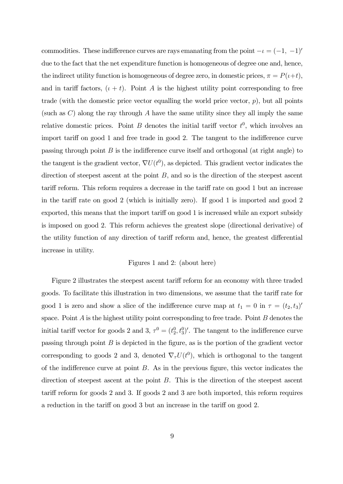commodities. These indifference curves are rays emanating from the point  $-\iota = (-1, -1)$ <sup>'</sup> due to the fact that the net expenditure function is homogeneous of degree one and, hence, the indirect utility function is homogeneous of degree zero, in domestic prices,  $\pi = P(t+t)$ , and in tariff factors,  $(\iota + t)$ . Point A is the highest utility point corresponding to free trade (with the domestic price vector equalling the world price vector,  $p$ ), but all points (such as  $C$ ) along the ray through A have the same utility since they all imply the same relative domestic prices. Point B denotes the initial tariff vector  $t^0$ , which involves an import tariff on good 1 and free trade in good 2. The tangent to the indifference curve passing through point  $B$  is the indifference curve itself and orthogonal (at right angle) to the tangent is the gradient vector,  $\nabla U(t^0)$ , as depicted. This gradient vector indicates the direction of steepest ascent at the point  $B$ , and so is the direction of the steepest ascent tariff reform. This reform requires a decrease in the tariff rate on good 1 but an increase in the tariff rate on good 2 (which is initially zero). If good 1 is imported and good 2 exported, this means that the import tariff on good 1 is increased while an export subsidy is imposed on good 2. This reform achieves the greatest slope (directional derivative) of the utility function of any direction of tariff reform and, hence, the greatest differential increase in utility.

#### Figures 1 and 2: (about here)

Figure 2 illustrates the steepest ascent tariff reform for an economy with three traded goods. To facilitate this illustration in two dimensions, we assume that the tariff rate for good 1 is zero and show a slice of the indifference curve map at  $t_1 = 0$  in  $\tau = (t_2, t_3)'$ space. Point  $A$  is the highest utility point corresponding to free trade. Point  $B$  denotes the initial tariff vector for goods 2 and 3,  $\tau^0 = (t_2^0, t_3^0)'$ . The tangent to the indifference curve passing through point  $B$  is depicted in the figure, as is the portion of the gradient vector corresponding to goods 2 and 3, denoted  $\nabla_{\tau}U(t^0)$ , which is orthogonal to the tangent of the indifference curve at point  $B$ . As in the previous figure, this vector indicates the direction of steepest ascent at the point B. This is the direction of the steepest ascent tariff reform for goods 2 and 3. If goods 2 and 3 are both imported, this reform requires a reduction in the tariff on good 3 but an increase in the tariff on good 2.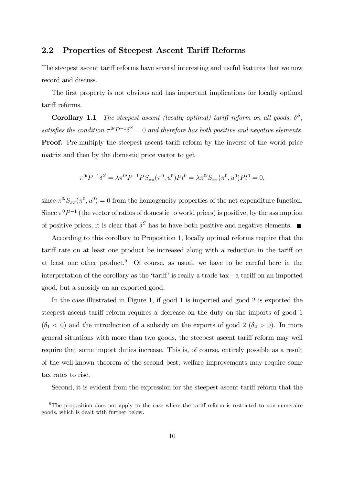#### 2.2 Properties of Steepest Ascent Tariff Reforms

The steepest ascent tariff reforms have several interesting and useful features that we now record and discuss.

The first property is not obvious and has important implications for locally optimal tariff reforms.

**Corollary 1.1** The steepest ascent (locally optimal) tariff reform on all goods,  $\delta^S$ , satisfies the condition  $\pi^{0}P^{-1}\delta^{S}=0$  and therefore has both positive and negative elements. Proof. Pre-multiply the steepest ascent tariff reform by the inverse of the world price matrix and then by the domestic price vector to get

$$
\pi^{0}P^{-1}\delta^{S} = \lambda \pi^{0}P^{-1}PS_{\pi\pi}(\pi^{0}, u^{0})Pt^{0} = \lambda \pi^{0}S_{\pi\pi}(\pi^{0}, u^{0})Pt^{0} = 0,
$$

since  $\pi^{0}S_{\pi\pi}(\pi^0, u^0) = 0$  from the homogeneity properties of the net expenditure function. Since  $\pi^0 P^{-1}$  (the vector of ratios of domestic to world prices) is positive, by the assumption of positive prices, it is clear that  $\delta^S$  has to have both positive and negative elements.

According to this corollary to Proposition 1, locally optimal reforms require that the tariff rate on at least one product be increased along with a reduction in the tariff on at least one other product.9 Of course, as usual, we have to be careful here in the interpretation of the corollary as the 'tariff' is really a trade tax - a tariff on an imported good, but a subsidy on an exported good.

In the case illustrated in Figure 1, if good 1 is imported and good 2 is exported the steepest ascent tariff reform requires a decrease on the duty on the imports of good 1  $(\delta_1 < 0)$  and the introduction of a subsidy on the exports of good 2  $(\delta_2 > 0)$ . In more general situations with more than two goods, the steepest ascent tariff reform may well require that some import duties increase. This is, of course, entirely possible as a result of the well-known theorem of the second best; welfare improvements may require some tax rates to rise.

Second, it is evident from the expression for the steepest ascent tariff reform that the

 $9$ The proposition does not apply to the case where the tariff reform is restricted to non-numeraire goods, which is dealt with further below.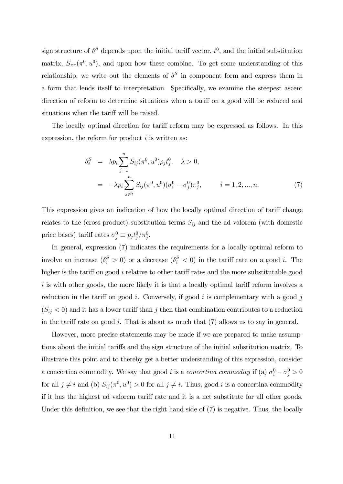sign structure of  $\delta^S$  depends upon the initial tariff vector,  $t^0$ , and the initial substitution matrix,  $S_{\pi\pi}(\pi^0, u^0)$ , and upon how these combine. To get some understanding of this relationship, we write out the elements of  $\delta^S$  in component form and express them in a form that lends itself to interpretation. Specifically, we examine the steepest ascent direction of reform to determine situations when a tariff on a good will be reduced and situations when the tariff will be raised.

The locally optimal direction for tariff reform may be expressed as follows. In this expression, the reform for product  $i$  is written as:

$$
\delta_i^S = \lambda p_i \sum_{j=1}^n S_{ij}(\pi^0, u^0) p_j t_j^0, \quad \lambda > 0,
$$
  
=  $-\lambda p_i \sum_{j \neq i}^n S_{ij}(\pi^0, u^0) (\sigma_i^0 - \sigma_j^0) \pi_j^0, \qquad i = 1, 2, ..., n.$  (7)

This expression gives an indication of how the locally optimal direction of tariff change relates to the (cross-product) substitution terms  $S_{ij}$  and the ad valorem (with domestic price bases) tariff rates  $\sigma_j^0 \equiv p_j t_j^0 / \pi_j^0$ .

In general, expression  $(7)$  indicates the requirements for a locally optimal reform to involve an increase  $(\delta_i^S > 0)$  or a decrease  $(\delta_i^S < 0)$  in the tariff rate on a good *i*. The higher is the tariff on good i relative to other tariff rates and the more substitutable good  $i$  is with other goods, the more likely it is that a locally optimal tariff reform involves a reduction in the tariff on good i. Conversely, if good i is complementary with a good j  $(S_{ij} < 0)$  and it has a lower tariff than j then that combination contributes to a reduction in the tariff rate on good i. That is about as much that  $(7)$  allows us to say in general.

However, more precise statements may be made if we are prepared to make assumptions about the initial tariffs and the sign structure of the initial substitution matrix. To illustrate this point and to thereby get a better understanding of this expression, consider a concertina commodity. We say that good *i* is a *concertina commodity* if (a)  $\sigma_i^0 - \sigma_j^0 > 0$ for all  $j \neq i$  and (b)  $S_{ij}(\pi^0, u^0) > 0$  for all  $j \neq i$ . Thus, good i is a concertina commodity if it has the highest ad valorem tariff rate and it is a net substitute for all other goods. Under this definition, we see that the right hand side of (7) is negative. Thus, the locally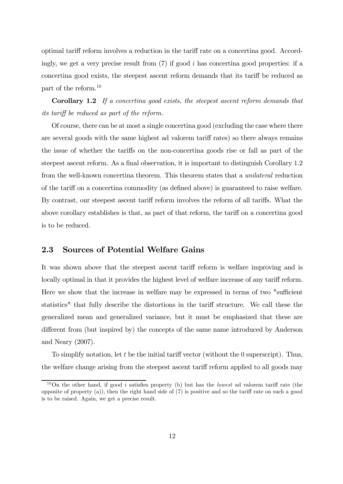optimal tariff reform involves a reduction in the tariff rate on a concertina good. Accordingly, we get a very precise result from  $(7)$  if good i has concertina good properties: if a concertina good exists, the steepest ascent reform demands that its tariff be reduced as part of the reform.10

Corollary 1.2 If a concertina good exists, the steepest ascent reform demands that its tariff be reduced as part of the reform.

Of course, there can be at most a single concertina good (excluding the case where there are several goods with the same highest ad valorem tariff rates) so there always remains the issue of whether the tariffs on the non-concertina goods rise or fall as part of the steepest ascent reform. As a final observation, it is important to distinguish Corollary 1.2 from the well-known concertina theorem. This theorem states that a unilateral reduction of the tariff on a concertina commodity (as defined above) is guaranteed to raise welfare. By contrast, our steepest ascent tariff reform involves the reform of all tariffs. What the above corollary establishes is that, as part of that reform, the tariff on a concertina good is to be reduced.

## 2.3 Sources of Potential Welfare Gains

It was shown above that the steepest ascent tariff reform is welfare improving and is locally optimal in that it provides the highest level of welfare increase of any tariff reform. Here we show that the increase in welfare may be expressed in terms of two "sufficient statistics" that fully describe the distortions in the tariff structure. We call these the generalized mean and generalized variance, but it must be emphasized that these are different from (but inspired by) the concepts of the same name introduced by Anderson and Neary (2007).

To simplify notation, let t be the initial tariff vector (without the 0 superscript). Thus, the welfare change arising from the steepest ascent tariff reform applied to all goods may

<sup>&</sup>lt;sup>10</sup>On the other hand, if good i satisfies property (b) but has the *lowest* ad valorem tariff rate (the opposite of property (a)), then the right hand side of (7) is positive and so the tariff rate on such a good is to be raised. Again, we get a precise result.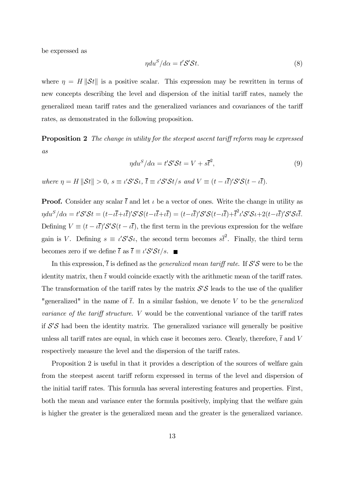be expressed as

$$
\eta du^S / d\alpha = t' \mathcal{S}' \mathcal{S} t. \tag{8}
$$

where  $\eta = H \|\mathcal{S}t\|$  is a positive scalar. This expression may be rewritten in terms of new concepts describing the level and dispersion of the initial tariff rates, namely the generalized mean tariff rates and the generalized variances and covariances of the tariff rates, as demonstrated in the following proposition.

**Proposition 2** The change in utility for the steepest ascent tariff reform may be expressed as

$$
\eta du^S / d\alpha = t' \mathcal{S}' \mathcal{S} t = V + s\overline{t}^2,\tag{9}
$$

where  $\eta = H \|\mathcal{S}t\| > 0$ ,  $s \equiv \iota' \mathcal{S}' \mathcal{S} \iota$ ,  $\overline{t} \equiv \iota' \mathcal{S}' \mathcal{S} t/s$  and  $V \equiv (t - \iota \overline{t})' \mathcal{S}' \mathcal{S} (t - \iota \overline{t})$ .

**Proof.** Consider any scalar  $\bar{t}$  and let  $\iota$  be a vector of ones. Write the change in utility as  $\eta du^S/d\alpha = t' S' S t = (t - \iota \overline{t} + \iota \overline{t})' S' S (t - \iota \overline{t} + \iota \overline{t}) = (t - \iota \overline{t})' S' S (t - \iota \overline{t}) + \overline{t}^2 \iota' S' S \iota + 2 (t - \iota \overline{t})' S' S \iota \overline{t}.$ Defining  $V \equiv (t - \iota \bar{t})' S' S(t - \iota \bar{t})$ , the first term in the previous expression for the welfare gain is V. Defining  $s \equiv \iota' S' \mathcal{S} \iota$ , the second term becomes  $s\bar{t}^2$ . Finally, the third term becomes zero if we define  $\bar{t}$  as  $\bar{t} \equiv \iota' \mathcal{S}' \mathcal{S} t/s$ .

In this expression,  $\bar{t}$  is defined as the *generalized mean tariff rate*. If  $S'S$  were to be the identity matrix, then  $\bar{t}$  would coincide exactly with the arithmetic mean of the tariff rates. The transformation of the tariff rates by the matrix  $S'S$  leads to the use of the qualifier "generalized" in the name of  $\bar{t}$ . In a similar fashion, we denote V to be the *generalized* variance of the tariff structure. V would be the conventional variance of the tariff rates if  $S'S$  had been the identity matrix. The generalized variance will generally be positive unless all tariff rates are equal, in which case it becomes zero. Clearly, therefore,  $\bar{t}$  and V respectively measure the level and the dispersion of the tariff rates.

Proposition 2 is useful in that it provides a description of the sources of welfare gain from the steepest ascent tariff reform expressed in terms of the level and dispersion of the initial tariff rates. This formula has several interesting features and properties. First, both the mean and variance enter the formula positively, implying that the welfare gain is higher the greater is the generalized mean and the greater is the generalized variance.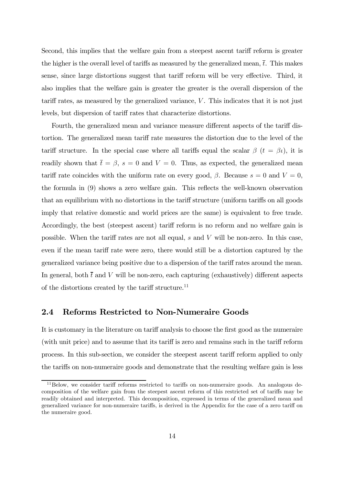Second, this implies that the welfare gain from a steepest ascent tariff reform is greater the higher is the overall level of tariffs as measured by the generalized mean,  $\bar{t}$ . This makes sense, since large distortions suggest that tariff reform will be very effective. Third, it also implies that the welfare gain is greater the greater is the overall dispersion of the tariff rates, as measured by the generalized variance,  $V$ . This indicates that it is not just levels, but dispersion of tariff rates that characterize distortions.

Fourth, the generalized mean and variance measure different aspects of the tariff distortion. The generalized mean tariff rate measures the distortion due to the level of the tariff structure. In the special case where all tariffs equal the scalar  $\beta$  ( $t = \beta \iota$ ), it is readily shown that  $\bar{t} = \beta$ ,  $s = 0$  and  $V = 0$ . Thus, as expected, the generalized mean tariff rate coincides with the uniform rate on every good,  $\beta$ . Because  $s = 0$  and  $V = 0$ , the formula in (9) shows a zero welfare gain. This reflects the well-known observation that an equilibrium with no distortions in the tariff structure (uniform tariffs on all goods imply that relative domestic and world prices are the same) is equivalent to free trade. Accordingly, the best (steepest ascent) tariff reform is no reform and no welfare gain is possible. When the tariff rates are not all equal,  $s$  and  $V$  will be non-zero. In this case, even if the mean tariff rate were zero, there would still be a distortion captured by the generalized variance being positive due to a dispersion of the tariff rates around the mean. In general, both  $\bar{t}$  and V will be non-zero, each capturing (exhaustively) different aspects of the distortions created by the tariff structure.<sup>11</sup>

### 2.4 Reforms Restricted to Non-Numeraire Goods

It is customary in the literature on tariff analysis to choose the first good as the numeraire (with unit price) and to assume that its tariff is zero and remains such in the tariff reform process. In this sub-section, we consider the steepest ascent tariff reform applied to only the tariffs on non-numeraire goods and demonstrate that the resulting welfare gain is less

<sup>&</sup>lt;sup>11</sup>Below, we consider tariff reforms restricted to tariffs on non-numeraire goods. An analogous decomposition of the welfare gain from the steepest ascent reform of this restricted set of tariffs may be readily obtained and interpreted. This decomposition, expressed in terms of the generalized mean and generalized variance for non-numeraire tariffs, is derived in the Appendix for the case of a zero tariff on the numeraire good.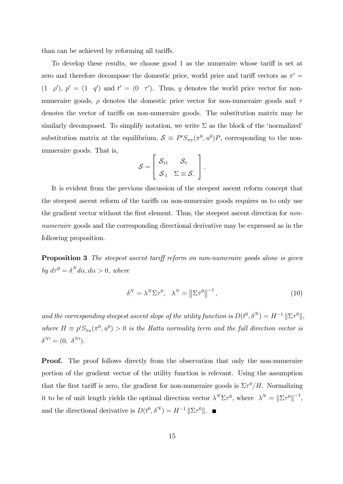than can be achieved by reforming all tariffs.

To develop these results, we choose good 1 as the numeraire whose tariff is set at zero and therefore decompose the domestic price, world price and tariff vectors as  $\pi$ <sup>'</sup>  $(1 \rho')$ ,  $p' = (1 \ q')$  and  $t' = (0 \ \tau')$ . Thus, q denotes the world price vector for nonnumeraire goods,  $\rho$  denotes the domestic price vector for non-numeraire goods and  $\tau$ denotes the vector of tariffs on non-numeraire goods. The substitution matrix may be similarly decomposed. To simplify notation, we write  $\Sigma$  as the block of the 'normalized' substitution matrix at the equilibrium,  $S \equiv P' S_{\pi\pi}(\pi^0, u^0) P$ , corresponding to the nonnumeraire goods. That is,

$$
\mathcal{S} = \left[ \begin{array}{cc} \mathcal{S}_{11} & \mathcal{S}_{1}. \\ \mathcal{S}_{\cdot 1} & \Sigma \equiv \mathcal{S}_{\cdot \cdot} \end{array} \right].
$$

It is evident from the previous discussion of the steepest ascent reform concept that the steepest ascent reform of the tariffs on non-numeraire goods requires us to only use the gradient vector without the first element. Thus, the steepest ascent direction for nonnumeraire goods and the corresponding directional derivative may be expressed as in the following proposition.

Proposition 3 The steepest ascent tariff reform on non-numeraire goods alone is given by  $d\tau^0 = \delta^N A \alpha, d\alpha > 0$ , where

$$
\delta^N = \lambda^N \Sigma \tau^0, \quad \lambda^N = \left\| \Sigma \tau^0 \right\|^{-1},\tag{10}
$$

and the corresponding steepest ascent slope of the utility function is  $D(t^0, \delta^N) = H^{-1} \|\Sigma \tau^0\|$ , where  $H \equiv p' S_{\pi u}(\pi^0, u^0) > 0$  is the Hatta normality term and the full direction vector is  $\delta^{N\prime}=(0, \delta^{N\prime}_\cdot).$ 

**Proof.** The proof follows directly from the observation that only the non-numeraire portion of the gradient vector of the utility function is relevant. Using the assumption that the first tariff is zero, the gradient for non-numeraire goods is  $\Sigma \tau^0/H$ . Normalizing it to be of unit length yields the optimal direction vector  $\lambda^N \Sigma \tau^0$ , where  $\lambda^N = ||\Sigma \tau^0||^{-1}$ , and the directional derivative is  $D(t^0, \delta^N) = H^{-1} ||\Sigma \tau^0||$ .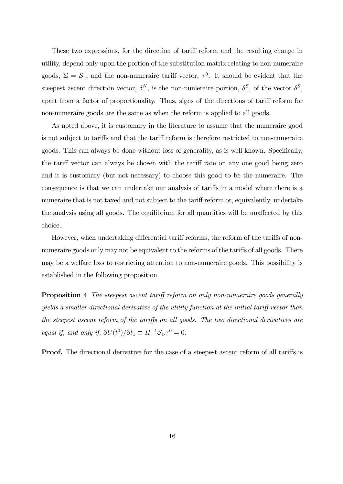These two expressions, for the direction of tariff reform and the resulting change in utility, depend only upon the portion of the substitution matrix relating to non-numeraire goods,  $\Sigma = \mathcal{S}_{\cdot\cdot}$ , and the non-numeraire tariff vector,  $\tau^0$ . It should be evident that the steepest ascent direction vector,  $\delta^N$ , is the non-numeraire portion,  $\delta^S$ , of the vector  $\delta^S$ , apart from a factor of proportionality. Thus, signs of the directions of tariff reform for non-numeraire goods are the same as when the reform is applied to all goods.

As noted above, it is customary in the literature to assume that the numeraire good is not subject to tariffs and that the tariff reform is therefore restricted to non-numeraire goods. This can always be done without loss of generality, as is well known. Specifically, the tariff vector can always be chosen with the tariff rate on any one good being zero and it is customary (but not necessary) to choose this good to be the numeraire. The consequence is that we can undertake our analysis of tariffs in a model where there is a numeraire that is not taxed and not subject to the tariff reform or, equivalently, undertake the analysis using all goods. The equilibrium for all quantities will be unaffected by this choice.

However, when undertaking differential tariff reforms, the reform of the tariffs of nonnumeraire goods only may not be equivalent to the reforms of the tariffs of all goods. There may be a welfare loss to restricting attention to non-numeraire goods. This possibility is established in the following proposition.

**Proposition 4** The steepest ascent tariff reform on only non-numeraire goods generally yields a smaller directional derivative of the utility function at the initial tariff vector than the steepest ascent reform of the tariffs on all goods. The two directional derivatives are equal if, and only if,  $\partial U(t^0)/\partial t_1 \equiv H^{-1}S_1 \cdot \tau^0 = 0.$ 

**Proof.** The directional derivative for the case of a steepest ascent reform of all tariffs is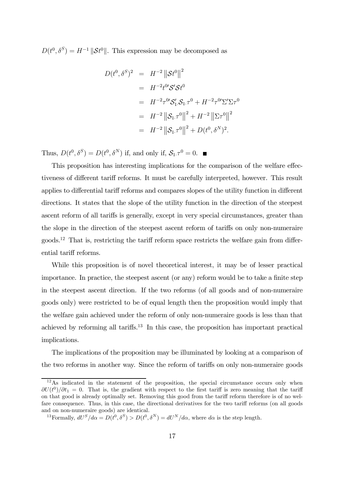$D(t^0, \delta^S) = H^{-1} ||\mathcal{S}t^0||$ . This expression may be decomposed as

$$
D(t^0, \delta^S)^2 = H^{-2} ||\mathcal{S}t^0||^2
$$
  
=  $H^{-2}t^0 \mathcal{S}' \mathcal{S}t^0$   
=  $H^{-2} \tau^0 \mathcal{S}'_1 \mathcal{S}_1 \tau^0 + H^{-2} \tau^0 \Sigma' \Sigma \tau^0$   
=  $H^{-2} ||\mathcal{S}_1 \tau^0||^2 + H^{-2} ||\Sigma \tau^0||^2$   
=  $H^{-2} ||\mathcal{S}_1 \tau^0||^2 + D(t^0, \delta^N)^2$ .

Thus,  $D(t^0, \delta^S) = D(t^0, \delta^N)$  if, and only if,  $S_1 \tau^0 = 0$ .

This proposition has interesting implications for the comparison of the welfare effectiveness of different tariff reforms. It must be carefully interpreted, however. This result applies to differential tariff reforms and compares slopes of the utility function in different directions. It states that the slope of the utility function in the direction of the steepest ascent reform of all tariffs is generally, except in very special circumstances, greater than the slope in the direction of the steepest ascent reform of tariffs on only non-numeraire  $\gamma$  goods.<sup>12</sup> That is, restricting the tariff reform space restricts the welfare gain from differential tariff reforms.

While this proposition is of novel theoretical interest, it may be of lesser practical importance. In practice, the steepest ascent (or any) reform would be to take a finite step in the steepest ascent direction. If the two reforms (of all goods and of non-numeraire goods only) were restricted to be of equal length then the proposition would imply that the welfare gain achieved under the reform of only non-numeraire goods is less than that achieved by reforming all tariffs.13 In this case, the proposition has important practical implications.

The implications of the proposition may be illuminated by looking at a comparison of the two reforms in another way. Since the reform of tariffs on only non-numeraire goods

 $12\text{As indicated in the statement of the proposition, the special circumstance occurs only when}$  $\partial U(t^0)/\partial t_1 = 0$ . That is, the gradient with respect to the first tariff is zero meaning that the tariff on that good is already optimally set. Removing this good from the tariff reform therefore is of no welfare consequence. Thus, in this case, the directional derivatives for the two tariff reforms (on all goods and on non-numeraire goods) are identical.

<sup>&</sup>lt;sup>13</sup>Formally,  $dU^S/d\alpha = D(t^0, \delta^S) > D(t^0, \delta^N) = dU^N/d\alpha$ , where  $d\alpha$  is the step length.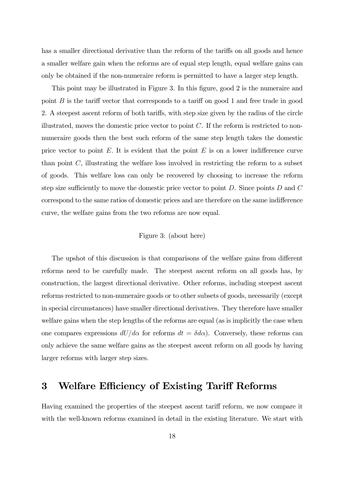has a smaller directional derivative than the reform of the tariffs on all goods and hence a smaller welfare gain when the reforms are of equal step length, equal welfare gains can only be obtained if the non-numeraire reform is permitted to have a larger step length.

This point may be illustrated in Figure 3. In this figure, good 2 is the numeraire and point  $B$  is the tariff vector that corresponds to a tariff on good 1 and free trade in good 2. A steepest ascent reform of both tariffs, with step size given by the radius of the circle illustrated, moves the domestic price vector to point  $C$ . If the reform is restricted to nonnumeraire goods then the best such reform of the same step length takes the domestic price vector to point  $E$ . It is evident that the point  $E$  is on a lower indifference curve than point  $C$ , illustrating the welfare loss involved in restricting the reform to a subset of goods. This welfare loss can only be recovered by choosing to increase the reform step size sufficiently to move the domestic price vector to point  $D$ . Since points  $D$  and  $C$ correspond to the same ratios of domestic prices and are therefore on the same indifference curve, the welfare gains from the two reforms are now equal.

#### Figure 3: (about here)

The upshot of this discussion is that comparisons of the welfare gains from different reforms need to be carefully made. The steepest ascent reform on all goods has, by construction, the largest directional derivative. Other reforms, including steepest ascent reforms restricted to non-numeraire goods or to other subsets of goods, necessarily (except in special circumstances) have smaller directional derivatives. They therefore have smaller welfare gains when the step lengths of the reforms are equal (as is implicitly the case when one compares expressions  $dU/d\alpha$  for reforms  $dt = \delta d\alpha$ . Conversely, these reforms can only achieve the same welfare gains as the steepest ascent reform on all goods by having larger reforms with larger step sizes.

## 3 Welfare Efficiency of Existing Tariff Reforms

Having examined the properties of the steepest ascent tariff reform, we now compare it with the well-known reforms examined in detail in the existing literature. We start with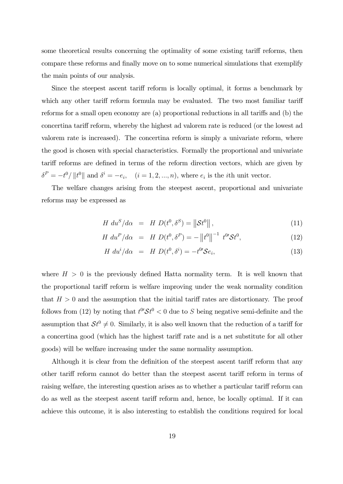some theoretical results concerning the optimality of some existing tariff reforms, then compare these reforms and finally move on to some numerical simulations that exemplify the main points of our analysis.

Since the steepest ascent tariff reform is locally optimal, it forms a benchmark by which any other tariff reform formula may be evaluated. The two most familiar tariff reforms for a small open economy are (a) proportional reductions in all tariffs and (b) the concertina tariff reform, whereby the highest ad valorem rate is reduced (or the lowest ad valorem rate is increased). The concertina reform is simply a univariate reform, where the good is chosen with special characteristics. Formally the proportional and univariate tariff reforms are defined in terms of the reform direction vectors, which are given by  $\delta^P = -t^0 / \|t^0\|$  and  $\delta^i = -e_i$ ,  $(i = 1, 2, ..., n)$ , where  $e_i$  is the *i*th unit vector.

The welfare changes arising from the steepest ascent, proportional and univariate reforms may be expressed as

$$
H du^S / d\alpha = H D(t^0, \delta^S) = ||\mathcal{S}t^0||,
$$
\n(11)

$$
H \, du^P / d\alpha = H \, D(t^0, \delta^P) = - \left\| t^0 \right\|^{-1} \, t^0 \mathcal{S} t^0,\tag{12}
$$

$$
H dui/d\alpha = H D(t0, \deltai) = -t0 S ei,
$$
\n(13)

where  $H > 0$  is the previously defined Hatta normality term. It is well known that the proportional tariff reform is welfare improving under the weak normality condition that  $H > 0$  and the assumption that the initial tariff rates are distortionary. The proof follows from (12) by noting that  $t^0 S t^0 < 0$  due to S being negative semi-definite and the assumption that  $St^0 \neq 0$ . Similarly, it is also well known that the reduction of a tariff for a concertina good (which has the highest tariff rate and is a net substitute for all other goods) will be welfare increasing under the same normality assumption.

Although it is clear from the definition of the steepest ascent tariff reform that any other tariff reform cannot do better than the steepest ascent tariff reform in terms of raising welfare, the interesting question arises as to whether a particular tariff reform can do as well as the steepest ascent tariff reform and, hence, be locally optimal. If it can achieve this outcome, it is also interesting to establish the conditions required for local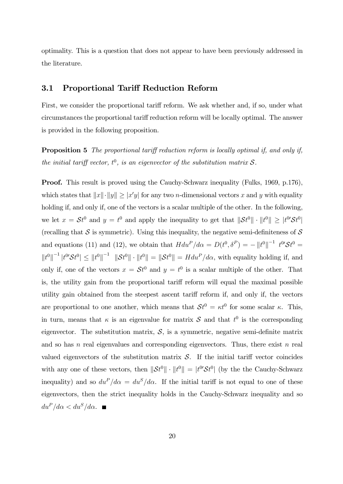optimality. This is a question that does not appear to have been previously addressed in the literature.

### 3.1 Proportional Tariff Reduction Reform

First, we consider the proportional tariff reform. We ask whether and, if so, under what circumstances the proportional tariff reduction reform will be locally optimal. The answer is provided in the following proposition.

**Proposition 5** The proportional tariff reduction reform is locally optimal if, and only if, the initial tariff vector,  $t^0$ , is an eigenvector of the substitution matrix  $S$ .

**Proof.** This result is proved using the Cauchy-Schwarz inequality (Fulks, 1969, p.176), which states that  $||x|| \cdot ||y|| \ge |x'y|$  for any two *n*-dimensional vectors x and y with equality holding if, and only if, one of the vectors is a scalar multiple of the other. In the following, we let  $x = St^0$  and  $y = t^0$  and apply the inequality to get that  $||St^0|| \cdot ||t^0|| \ge |t^0 \mathcal{S}t^0||$ (recalling that  $S$  is symmetric). Using this inequality, the negative semi-definiteness of  $S$ and equations (11) and (12), we obtain that  $H du^P/d\alpha = D(t^0, \delta^P) = -||t^0||^{-1} t^{0'} \mathcal{S} t^0 =$  $||t^0||^{-1} |t^0 \mathcal{S} t^0| \le ||t^0||^{-1} ||\mathcal{S} t^0|| \cdot ||t^0|| = ||\mathcal{S} t^0|| = H du^P/d\alpha$ , with equality holding if, and only if, one of the vectors  $x = \mathcal{S}t^0$  and  $y = t^0$  is a scalar multiple of the other. That is, the utility gain from the proportional tariff reform will equal the maximal possible utility gain obtained from the steepest ascent tariff reform if, and only if, the vectors are proportional to one another, which means that  $St^0 = \kappa t^0$  for some scalar  $\kappa$ . This, in turn, means that  $\kappa$  is an eigenvalue for matrix  $\mathcal S$  and that  $t^0$  is the corresponding eigenvector. The substitution matrix,  $S$ , is a symmetric, negative semi-definite matrix and so has n real eigenvalues and corresponding eigenvectors. Thus, there exist n real valued eigenvectors of the substitution matrix  $S$ . If the initial tariff vector coincides with any one of these vectors, then  $||St^0|| \cdot ||t^0|| = |t^0 \mathcal{S}t^0|$  (by the the Cauchy-Schwarz inequality) and so  $du^P/d\alpha = du^S/d\alpha$ . If the initial tariff is not equal to one of these eigenvectors, then the strict inequality holds in the Cauchy-Schwarz inequality and so  $du^P/d\alpha < du^S/d\alpha$ .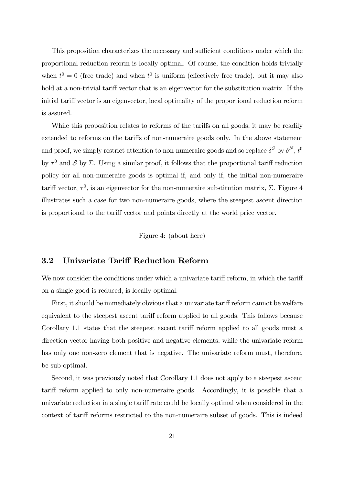This proposition characterizes the necessary and sufficient conditions under which the proportional reduction reform is locally optimal. Of course, the condition holds trivially when  $t^0 = 0$  (free trade) and when  $t^0$  is uniform (effectively free trade), but it may also hold at a non-trivial tariff vector that is an eigenvector for the substitution matrix. If the initial tariff vector is an eigenvector, local optimality of the proportional reduction reform is assured.

While this proposition relates to reforms of the tariffs on all goods, it may be readily extended to reforms on the tariffs of non-numeraire goods only. In the above statement and proof, we simply restrict attention to non-numeraire goods and so replace  $\delta^S$  by  $\delta^N$ ,  $t^0$ by  $\tau^0$  and S by  $\Sigma$ . Using a similar proof, it follows that the proportional tariff reduction policy for all non-numeraire goods is optimal if, and only if, the initial non-numeraire tariff vector,  $\tau^0$ , is an eigenvector for the non-numeraire substitution matrix, Σ. Figure 4 illustrates such a case for two non-numeraire goods, where the steepest ascent direction is proportional to the tariff vector and points directly at the world price vector.

Figure 4: (about here)

## 3.2 Univariate Tariff Reduction Reform

We now consider the conditions under which a univariate tariff reform, in which the tariff on a single good is reduced, is locally optimal.

First, it should be immediately obvious that a univariate tariff reform cannot be welfare equivalent to the steepest ascent tariff reform applied to all goods. This follows because Corollary 1.1 states that the steepest ascent tariff reform applied to all goods must a direction vector having both positive and negative elements, while the univariate reform has only one non-zero element that is negative. The univariate reform must, therefore, be sub-optimal.

Second, it was previously noted that Corollary 1.1 does not apply to a steepest ascent tariff reform applied to only non-numeraire goods. Accordingly, it is possible that a univariate reduction in a single tariff rate could be locally optimal when considered in the context of tariff reforms restricted to the non-numeraire subset of goods. This is indeed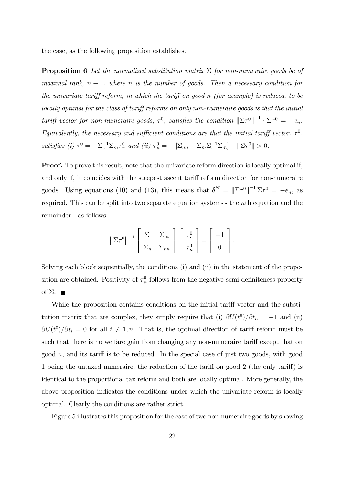the case, as the following proposition establishes.

**Proposition 6** Let the normalized substitution matrix  $\Sigma$  for non-numeraire goods be of maximal rank,  $n-1$ , where n is the number of goods. Then a necessary condition for the univariate tariff reform, in which the tariff on good n (for example) is reduced, to be locally optimal for the class of tariff reforms on only non-numeraire goods is that the initial tariff vector for non-numeraire goods,  $\tau^0$ , satisfies the condition  $||\Sigma \tau^0||^{-1} \cdot \Sigma \tau^0 = -e_n$ . Equivalently, the necessary and sufficient conditions are that the initial tariff vector,  $\tau^0$ , satisfies (i)  $\tau_{\cdot}^{0} = -\Sigma_{\cdot}^{-1} \Sigma_{\cdot n} \tau_{n}^{0}$  and (ii)  $\tau_{n}^{0} = -[\Sigma_{nn} - \Sigma_{n} \Sigma_{\cdot}^{-1} \Sigma_{\cdot n}]^{-1} ||\Sigma \tau^{0}|| > 0$ .

**Proof.** To prove this result, note that the univariate reform direction is locally optimal if, and only if, it coincides with the steepest ascent tariff reform direction for non-numeraire goods. Using equations (10) and (13), this means that  $\delta^N = ||\Sigma \tau^0||^{-1} \Sigma \tau^0 = -e_n$ , as required. This can be split into two separate equation systems - the nth equation and the remainder - as follows:

$$
\left\|\Sigma\tau^0\right\|^{-1}\left[\begin{array}{cc} \Sigma_{\cdot\cdot} & \Sigma_{\cdot n} \\ \Sigma_{n\cdot} & \Sigma_{nn} \end{array}\right]\left[\begin{array}{c} \tau^0_{\cdot} \\ \tau^0_{n} \end{array}\right] = \left[\begin{array}{c} -1 \\ 0 \end{array}\right].
$$

Solving each block sequentially, the conditions (i) and (ii) in the statement of the proposition are obtained. Positivity of  $\tau_n^0$  follows from the negative semi-definiteness property of  $\Sigma$ . ■

While the proposition contains conditions on the initial tariff vector and the substitution matrix that are complex, they simply require that (i)  $\partial U(t^0)/\partial t_n = -1$  and (ii)  $\partial U(t^0)/\partial t_i = 0$  for all  $i \neq 1, n$ . That is, the optimal direction of tariff reform must be such that there is no welfare gain from changing any non-numeraire tariff except that on good  $n$ , and its tariff is to be reduced. In the special case of just two goods, with good 1 being the untaxed numeraire, the reduction of the tariff on good 2 (the only tariff) is identical to the proportional tax reform and both are locally optimal. More generally, the above proposition indicates the conditions under which the univariate reform is locally optimal. Clearly the conditions are rather strict.

Figure 5 illustrates this proposition for the case of two non-numeraire goods by showing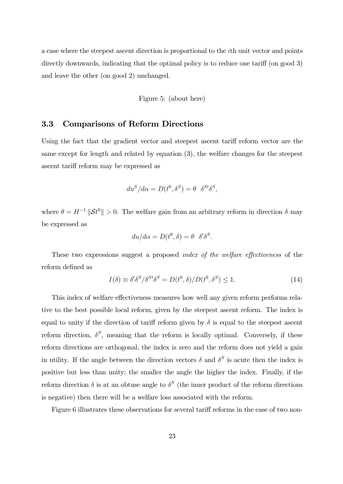a case where the steepest ascent direction is proportional to the ith unit vector and points directly downwards, indicating that the optimal policy is to reduce one tariff (on good 3) and leave the other (on good 2) unchanged.

Figure 5: (about here)

### 3.3 Comparisons of Reform Directions

Using the fact that the gradient vector and steepest ascent tariff reform vector are the same except for length and related by equation (3), the welfare changes for the steepest ascent tariff reform may be expressed as

$$
du^S/d\alpha = D(t^0, \delta^S) = \theta \ \ \delta^{S'}\delta^S,
$$

where  $\theta = H^{-1} \|\mathcal{S}t^0\| > 0$ . The welfare gain from an arbitrary reform in direction  $\delta$  may be expressed as

$$
du/d\alpha = D(t^0, \delta) = \theta \delta' \delta^S.
$$

These two expressions suggest a proposed index of the welfare effectiveness of the reform defined as

$$
I(\delta) \equiv \delta' \delta^S / \delta^{S'} \delta^S = D(t^0, \delta) / D(t^0, \delta^S) \le 1.
$$
\n(14)

This index of welfare effectiveness measures how well any given reform performs relative to the best possible local reform, given by the steepest ascent reform. The index is equal to unity if the direction of tariff reform given by  $\delta$  is equal to the steepest ascent reform direction,  $\delta^S$ , meaning that the reform is locally optimal. Conversely, if these reform directions are orthogonal, the index is zero and the reform does not yield a gain in utility. If the angle between the direction vectors  $\delta$  and  $\delta^S$  is acute then the index is positive but less than unity; the smaller the angle the higher the index. Finally, if the reform direction  $\delta$  is at an obtuse angle to  $\delta^S$  (the inner product of the reform directions is negative) then there will be a welfare loss associated with the reform.

Figure 6 illustrates these observations for several tariff reforms in the case of two non-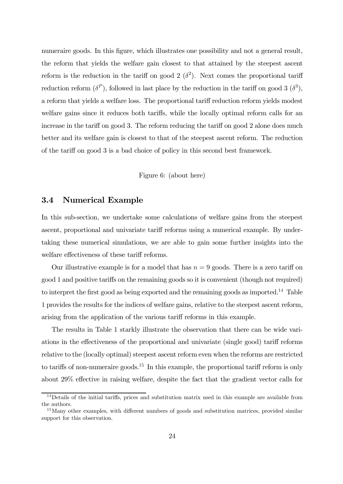numeraire goods. In this figure, which illustrates one possibility and not a general result, the reform that yields the welfare gain closest to that attained by the steepest ascent reform is the reduction in the tariff on good 2  $(\delta^2)$ . Next comes the proportional tariff reduction reform  $(\delta^P)$ , followed in last place by the reduction in the tariff on good 3  $(\delta^3)$ , a reform that yields a welfare loss. The proportional tariff reduction reform yields modest welfare gains since it reduces both tariffs, while the locally optimal reform calls for an increase in the tariff on good 3. The reform reducing the tariff on good 2 alone does much better and its welfare gain is closest to that of the steepest ascent reform. The reduction of the tariff on good 3 is a bad choice of policy in this second best framework.

Figure 6: (about here)

### 3.4 Numerical Example

In this sub-section, we undertake some calculations of welfare gains from the steepest ascent, proportional and univariate tariff reforms using a numerical example. By undertaking these numerical simulations, we are able to gain some further insights into the welfare effectiveness of these tariff reforms.

Our illustrative example is for a model that has  $n = 9$  goods. There is a zero tariff on good 1 and positive tariffs on the remaining goods so it is convenient (though not required) to interpret the first good as being exported and the remaining goods as imported.14 Table 1 provides the results for the indices of welfare gains, relative to the steepest ascent reform, arising from the application of the various tariff reforms in this example.

The results in Table 1 starkly illustrate the observation that there can be wide variations in the effectiveness of the proportional and univariate (single good) tariff reforms relative to the (locally optimal) steepest ascent reform even when the reforms are restricted to tariffs of non-numeraire goods.<sup>15</sup> In this example, the proportional tariff reform is only about 29% effective in raising welfare, despite the fact that the gradient vector calls for

<sup>&</sup>lt;sup>14</sup>Details of the initial tariffs, prices and substitution matrix used in this example are available from the authors.

<sup>&</sup>lt;sup>15</sup>Many other examples, with different numbers of goods and substitution matrices, provided similar support for this observation.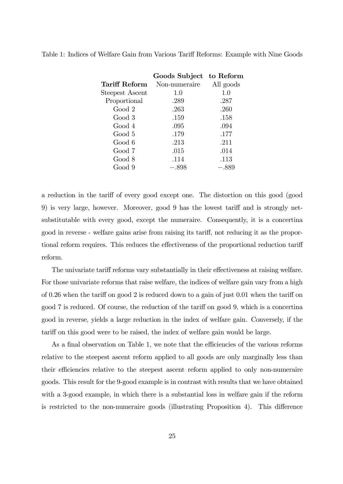|                 | Goods Subject to Reform |           |
|-----------------|-------------------------|-----------|
| Tariff Reform   | Non-numeraire           | All goods |
| Steepest Ascent | 1.0                     | 1.0       |
| Proportional    | .289                    | .287      |
| Good 2          | .263                    | .260      |
| Good 3          | .159                    | .158      |
| Good 4          | .095                    | .094      |
| Good 5          | .179                    | .177      |
| Good 6          | .213                    | .211      |
| Good 7          | .015                    | .014      |
| Good 8          | .114                    | .113      |
| Good 9          | $-.898$                 | $-.889$   |

Table 1: Indices of Welfare Gain from Various Tariff Reforms: Example with Nine Goods

a reduction in the tariff of every good except one. The distortion on this good (good 9) is very large, however. Moreover, good 9 has the lowest tariff and is strongly netsubstitutable with every good, except the numeraire. Consequently, it is a concertina good in reverse - welfare gains arise from raising its tariff, not reducing it as the proportional reform requires. This reduces the effectiveness of the proportional reduction tariff reform.

The univariate tariff reforms vary substantially in their effectiveness at raising welfare. For those univariate reforms that raise welfare, the indices of welfare gain vary from a high of 0.26 when the tariff on good 2 is reduced down to a gain of just 0.01 when the tariff on good 7 is reduced. Of course, the reduction of the tariff on good 9, which is a concertina good in reverse, yields a large reduction in the index of welfare gain. Conversely, if the tariff on this good were to be raised, the index of welfare gain would be large.

As a final observation on Table 1, we note that the efficiencies of the various reforms relative to the steepest ascent reform applied to all goods are only marginally less than their efficiencies relative to the steepest ascent reform applied to only non-numeraire goods. This result for the 9-good example is in contrast with results that we have obtained with a 3-good example, in which there is a substantial loss in welfare gain if the reform is restricted to the non-numeraire goods (illustrating Proposition 4). This difference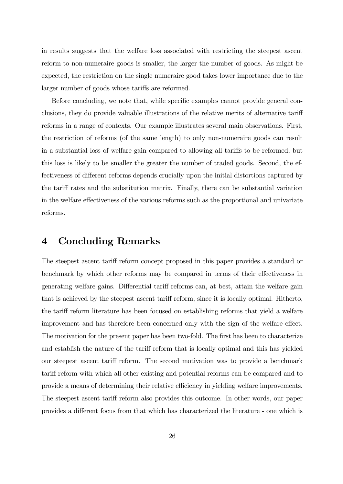in results suggests that the welfare loss associated with restricting the steepest ascent reform to non-numeraire goods is smaller, the larger the number of goods. As might be expected, the restriction on the single numeraire good takes lower importance due to the larger number of goods whose tariffs are reformed.

Before concluding, we note that, while specific examples cannot provide general conclusions, they do provide valuable illustrations of the relative merits of alternative tariff reforms in a range of contexts. Our example illustrates several main observations. First, the restriction of reforms (of the same length) to only non-numeraire goods can result in a substantial loss of welfare gain compared to allowing all tariffs to be reformed, but this loss is likely to be smaller the greater the number of traded goods. Second, the effectiveness of different reforms depends crucially upon the initial distortions captured by the tariff rates and the substitution matrix. Finally, there can be substantial variation in the welfare effectiveness of the various reforms such as the proportional and univariate reforms.

## 4 Concluding Remarks

The steepest ascent tariff reform concept proposed in this paper provides a standard or benchmark by which other reforms may be compared in terms of their effectiveness in generating welfare gains. Differential tariff reforms can, at best, attain the welfare gain that is achieved by the steepest ascent tariff reform, since it is locally optimal. Hitherto, the tariff reform literature has been focused on establishing reforms that yield a welfare improvement and has therefore been concerned only with the sign of the welfare effect. The motivation for the present paper has been two-fold. The first has been to characterize and establish the nature of the tariff reform that is locally optimal and this has yielded our steepest ascent tariff reform. The second motivation was to provide a benchmark tariff reform with which all other existing and potential reforms can be compared and to provide a means of determining their relative efficiency in yielding welfare improvements. The steepest ascent tariff reform also provides this outcome. In other words, our paper provides a different focus from that which has characterized the literature - one which is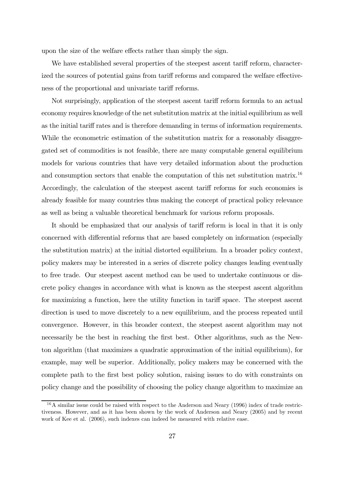upon the size of the welfare effects rather than simply the sign.

We have established several properties of the steepest ascent tariff reform, characterized the sources of potential gains from tariff reforms and compared the welfare effectiveness of the proportional and univariate tariff reforms.

Not surprisingly, application of the steepest ascent tariff reform formula to an actual economy requires knowledge of the net substitution matrix at the initial equilibrium as well as the initial tariff rates and is therefore demanding in terms of information requirements. While the econometric estimation of the substitution matrix for a reasonably disaggregated set of commodities is not feasible, there are many computable general equilibrium models for various countries that have very detailed information about the production and consumption sectors that enable the computation of this net substitution matrix.<sup>16</sup> Accordingly, the calculation of the steepest ascent tariff reforms for such economies is already feasible for many countries thus making the concept of practical policy relevance as well as being a valuable theoretical benchmark for various reform proposals.

It should be emphasized that our analysis of tariff reform is local in that it is only concerned with differential reforms that are based completely on information (especially the substitution matrix) at the initial distorted equilibrium. In a broader policy context, policy makers may be interested in a series of discrete policy changes leading eventually to free trade. Our steepest ascent method can be used to undertake continuous or discrete policy changes in accordance with what is known as the steepest ascent algorithm for maximizing a function, here the utility function in tariff space. The steepest ascent direction is used to move discretely to a new equilibrium, and the process repeated until convergence. However, in this broader context, the steepest ascent algorithm may not necessarily be the best in reaching the first best. Other algorithms, such as the Newton algorithm (that maximizes a quadratic approximation of the initial equilibrium), for example, may well be superior. Additionally, policy makers may be concerned with the complete path to the first best policy solution, raising issues to do with constraints on policy change and the possibility of choosing the policy change algorithm to maximize an

 $16A$  similar issue could be raised with respect to the Anderson and Neary (1996) index of trade restrictiveness. However, and as it has been shown by the work of Anderson and Neary (2005) and by recent work of Kee et al. (2006), such indexes can indeed be measured with relative ease.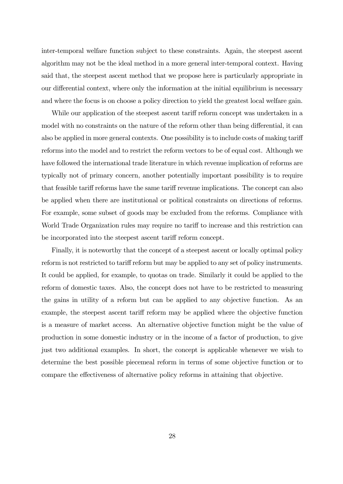inter-temporal welfare function subject to these constraints. Again, the steepest ascent algorithm may not be the ideal method in a more general inter-temporal context. Having said that, the steepest ascent method that we propose here is particularly appropriate in our differential context, where only the information at the initial equilibrium is necessary and where the focus is on choose a policy direction to yield the greatest local welfare gain.

While our application of the steepest ascent tariff reform concept was undertaken in a model with no constraints on the nature of the reform other than being differential, it can also be applied in more general contexts. One possibility is to include costs of making tariff reforms into the model and to restrict the reform vectors to be of equal cost. Although we have followed the international trade literature in which revenue implication of reforms are typically not of primary concern, another potentially important possibility is to require that feasible tariff reforms have the same tariff revenue implications. The concept can also be applied when there are institutional or political constraints on directions of reforms. For example, some subset of goods may be excluded from the reforms. Compliance with World Trade Organization rules may require no tariff to increase and this restriction can be incorporated into the steepest ascent tariff reform concept.

Finally, it is noteworthy that the concept of a steepest ascent or locally optimal policy reform is not restricted to tariff reform but may be applied to any set of policy instruments. It could be applied, for example, to quotas on trade. Similarly it could be applied to the reform of domestic taxes. Also, the concept does not have to be restricted to measuring the gains in utility of a reform but can be applied to any objective function. As an example, the steepest ascent tariff reform may be applied where the objective function is a measure of market access. An alternative objective function might be the value of production in some domestic industry or in the income of a factor of production, to give just two additional examples. In short, the concept is applicable whenever we wish to determine the best possible piecemeal reform in terms of some objective function or to compare the effectiveness of alternative policy reforms in attaining that objective.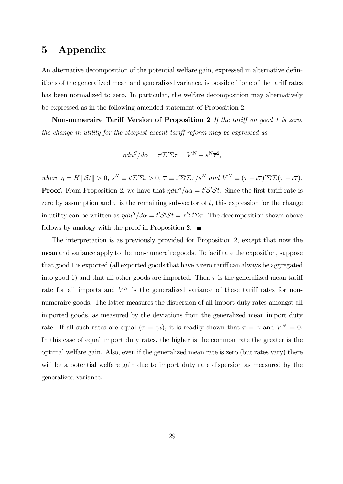## 5 Appendix

An alternative decomposition of the potential welfare gain, expressed in alternative definitions of the generalized mean and generalized variance, is possible if one of the tariff rates has been normalized to zero. In particular, the welfare decomposition may alternatively be expressed as in the following amended statement of Proposition 2.

Non-numeraire Tariff Version of Proposition 2 If the tariff on good 1 is zero, the change in utility for the steepest ascent tariff reform may be expressed as

$$
\eta du^S / d\alpha = \tau' \Sigma' \Sigma \tau = V^N + s^N \overline{\tau}^2,
$$

where  $\eta = H \|\mathcal{S}t\| > 0$ ,  $s^N \equiv \iota' \Sigma' \Sigma \iota > 0$ ,  $\overline{\tau} \equiv \iota' \Sigma' \Sigma \tau / s^N$  and  $V^N \equiv (\tau - \iota \overline{\tau})' \Sigma' \Sigma (\tau - \iota \overline{\tau})$ . **Proof.** From Proposition 2, we have that  $\eta du^S/d\alpha = t'S'St$ . Since the first tariff rate is zero by assumption and  $\tau$  is the remaining sub-vector of t, this expression for the change in utility can be written as  $\eta du^S/d\alpha = t'S'St = \tau'\Sigma'\Sigma\tau$ . The decomposition shown above follows by analogy with the proof in Proposition 2.  $\blacksquare$ 

The interpretation is as previously provided for Proposition 2, except that now the mean and variance apply to the non-numeraire goods. To facilitate the exposition, suppose that good 1 is exported (all exported goods that have a zero tariff can always be aggregated into good 1) and that all other goods are imported. Then  $\bar{\tau}$  is the generalized mean tariff rate for all imports and  $V^N$  is the generalized variance of these tariff rates for nonnumeraire goods. The latter measures the dispersion of all import duty rates amongst all imported goods, as measured by the deviations from the generalized mean import duty rate. If all such rates are equal  $(\tau = \gamma \iota)$ , it is readily shown that  $\overline{\tau} = \gamma$  and  $V^N = 0$ . In this case of equal import duty rates, the higher is the common rate the greater is the optimal welfare gain. Also, even if the generalized mean rate is zero (but rates vary) there will be a potential welfare gain due to import duty rate dispersion as measured by the generalized variance.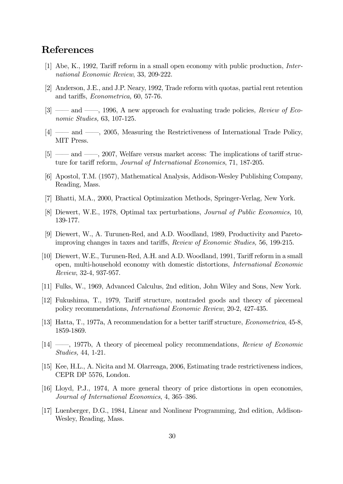## References

- [1] Abe, K., 1992, Tariff reform in a small open economy with public production, International Economic Review, 33, 209-222.
- [2] Anderson, J.E., and J.P. Neary, 1992, Trade reform with quotas, partial rent retention and tariffs, Econometrica, 60, 57-76.
- [3] —— and ——, 1996, A new approach for evaluating trade policies, Review of Economic Studies, 63, 107-125.
- [4] –– and ––, 2005, Measuring the Restrictiveness of International Trade Policy, MIT Press.
- [5] –– and ––, 2007, Welfare versus market access: The implications of tariff structure for tariff reform, Journal of International Economics, 71, 187-205.
- [6] Apostol, T.M. (1957), Mathematical Analysis, Addison-Wesley Publishing Company, Reading, Mass.
- [7] Bhatti, M.A., 2000, Practical Optimization Methods, Springer-Verlag, New York.
- [8] Diewert, W.E., 1978, Optimal tax perturbations, Journal of Public Economics, 10, 139-177.
- [9] Diewert, W., A. Turunen-Red, and A.D. Woodland, 1989, Productivity and Paretoimproving changes in taxes and tariffs, Review of Economic Studies, 56, 199-215.
- [10] Diewert, W.E., Turunen-Red, A.H. and A.D. Woodland, 1991, Tariff reform in a small open, multi-household economy with domestic distortions, International Economic Review, 32-4, 937-957.
- [11] Fulks, W., 1969, Advanced Calculus, 2nd edition, John Wiley and Sons, New York.
- [12] Fukushima, T., 1979, Tariff structure, nontraded goods and theory of piecemeal policy recommendations, International Economic Review, 20-2, 427-435.
- [13] Hatta, T., 1977a, A recommendation for a better tariff structure, Econometrica, 45-8, 1859-1869.
- [14] ––, 1977b, A theory of piecemeal policy recommendations, Review of Economic Studies, 44, 1-21.
- [15] Kee, H.L., A. Nicita and M. Olarreaga, 2006, Estimating trade restrictiveness indices, CEPR DP 5576, London.
- [16] Lloyd, P.J., 1974, A more general theory of price distortions in open economies, Journal of International Economics, 4, 365—386.
- [17] Luenberger, D.G., 1984, Linear and Nonlinear Programming, 2nd edition, Addison-Wesley, Reading, Mass.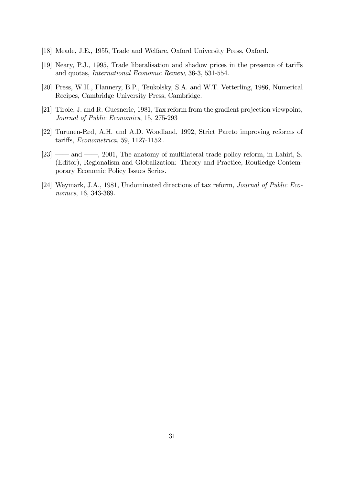- [18] Meade, J.E., 1955, Trade and Welfare, Oxford University Press, Oxford.
- [19] Neary, P.J., 1995, Trade liberalisation and shadow prices in the presence of tariffs and quotas, International Economic Review, 36-3, 531-554.
- [20] Press, W.H., Flannery, B.P., Teukolsky, S.A. and W.T. Vetterling, 1986, Numerical Recipes, Cambridge University Press, Cambridge.
- [21] Tirole, J. and R. Guesnerie, 1981, Tax reform from the gradient projection viewpoint, Journal of Public Economics, 15, 275-293
- [22] Turunen-Red, A.H. and A.D. Woodland, 1992, Strict Pareto improving reforms of tariffs, Econometrica, 59, 1127-1152..
- [23] —— and ——, 2001, The anatomy of multilateral trade policy reform, in Lahiri, S. (Editor), Regionalism and Globalization: Theory and Practice, Routledge Contemporary Economic Policy Issues Series.
- [24] Weymark, J.A., 1981, Undominated directions of tax reform, Journal of Public Economics, 16, 343-369.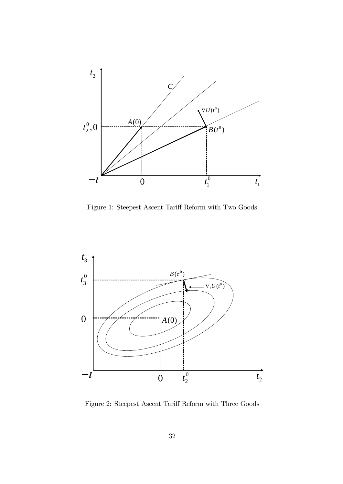

Figure 1: Steepest Ascent Tariff Reform with Two Goods



Figure 2: Steepest Ascent Tariff Reform with Three Goods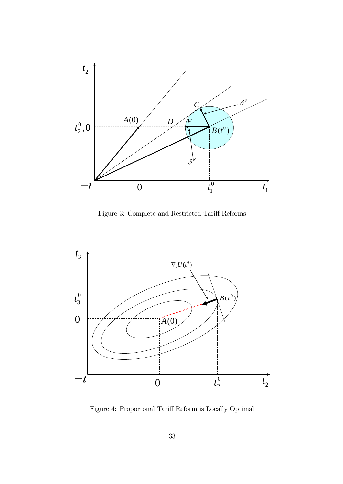

Figure 3: Complete and Restricted Tariff Reforms



Figure 4: Proportonal Tariff Reform is Locally Optimal